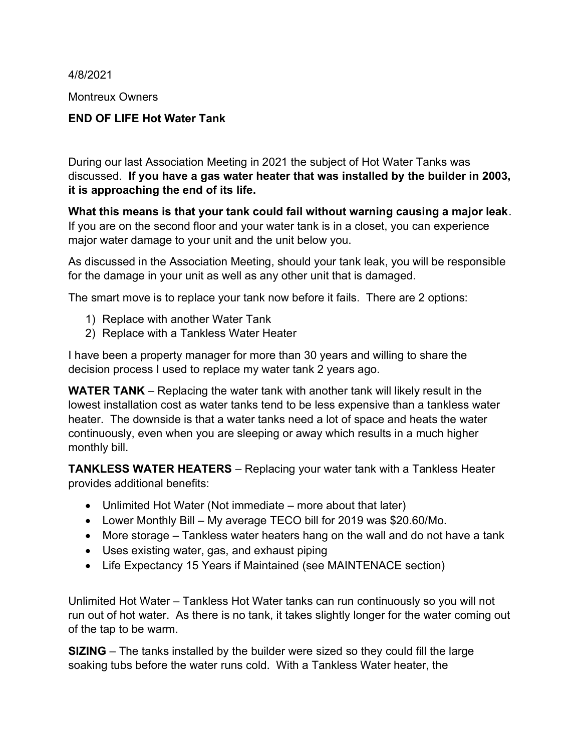4/8/2021

Montreux Owners

## END OF LIFE Hot Water Tank

During our last Association Meeting in 2021 the subject of Hot Water Tanks was discussed. If you have a gas water heater that was installed by the builder in 2003, it is approaching the end of its life.

What this means is that your tank could fail without warning causing a major leak. If you are on the second floor and your water tank is in a closet, you can experience major water damage to your unit and the unit below you.

As discussed in the Association Meeting, should your tank leak, you will be responsible for the damage in your unit as well as any other unit that is damaged.

The smart move is to replace your tank now before it fails. There are 2 options:

- 1) Replace with another Water Tank
- 2) Replace with a Tankless Water Heater

I have been a property manager for more than 30 years and willing to share the decision process I used to replace my water tank 2 years ago.

WATER TANK – Replacing the water tank with another tank will likely result in the lowest installation cost as water tanks tend to be less expensive than a tankless water heater. The downside is that a water tanks need a lot of space and heats the water continuously, even when you are sleeping or away which results in a much higher monthly bill.

TANKLESS WATER HEATERS – Replacing your water tank with a Tankless Heater provides additional benefits:

- Unlimited Hot Water (Not immediate more about that later)
- Lower Monthly Bill My average TECO bill for 2019 was \$20.60/Mo.
- More storage Tankless water heaters hang on the wall and do not have a tank
- Uses existing water, gas, and exhaust piping
- Life Expectancy 15 Years if Maintained (see MAINTENACE section)

Unlimited Hot Water – Tankless Hot Water tanks can run continuously so you will not run out of hot water. As there is no tank, it takes slightly longer for the water coming out of the tap to be warm.

SIZING – The tanks installed by the builder were sized so they could fill the large soaking tubs before the water runs cold. With a Tankless Water heater, the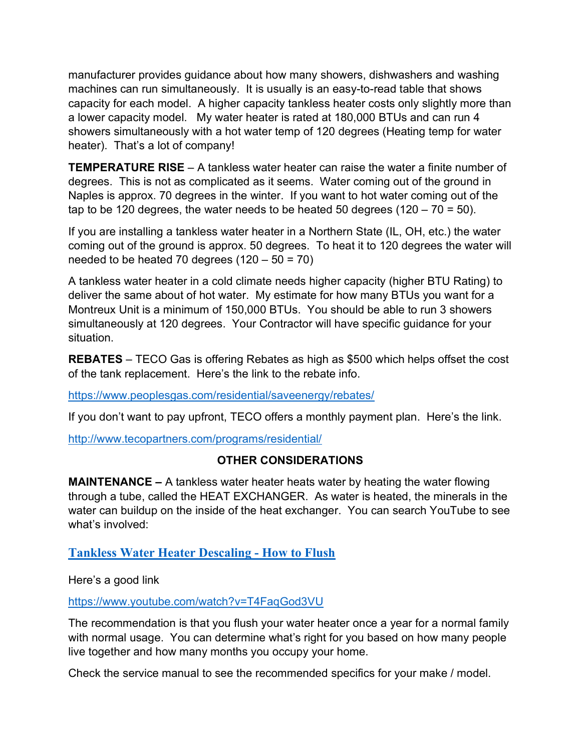manufacturer provides guidance about how many showers, dishwashers and washing machines can run simultaneously. It is usually is an easy-to-read table that shows capacity for each model. A higher capacity tankless heater costs only slightly more than a lower capacity model. My water heater is rated at 180,000 BTUs and can run 4 showers simultaneously with a hot water temp of 120 degrees (Heating temp for water heater). That's a lot of company!

TEMPERATURE RISE – A tankless water heater can raise the water a finite number of degrees. This is not as complicated as it seems. Water coming out of the ground in Naples is approx. 70 degrees in the winter. If you want to hot water coming out of the tap to be 120 degrees, the water needs to be heated 50 degrees (120 – 70 = 50).

If you are installing a tankless water heater in a Northern State (IL, OH, etc.) the water coming out of the ground is approx. 50 degrees. To heat it to 120 degrees the water will needed to be heated 70 degrees  $(120 - 50 = 70)$ 

A tankless water heater in a cold climate needs higher capacity (higher BTU Rating) to deliver the same about of hot water. My estimate for how many BTUs you want for a Montreux Unit is a minimum of 150,000 BTUs. You should be able to run 3 showers simultaneously at 120 degrees. Your Contractor will have specific guidance for your situation.

REBATES – TECO Gas is offering Rebates as high as \$500 which helps offset the cost of the tank replacement. Here's the link to the rebate info.

https://www.peoplesgas.com/residential/saveenergy/rebates/

If you don't want to pay upfront, TECO offers a monthly payment plan. Here's the link.

http://www.tecopartners.com/programs/residential/

## OTHER CONSIDERATIONS

**MAINTENANCE** – A tankless water heater heats water by heating the water flowing through a tube, called the HEAT EXCHANGER. As water is heated, the minerals in the water can buildup on the inside of the heat exchanger. You can search YouTube to see what's involved:

## Tankless Water Heater Descaling - How to Flush

Here's a good link

https://www.youtube.com/watch?v=T4FaqGod3VU

The recommendation is that you flush your water heater once a year for a normal family with normal usage. You can determine what's right for you based on how many people live together and how many months you occupy your home.

Check the service manual to see the recommended specifics for your make / model.